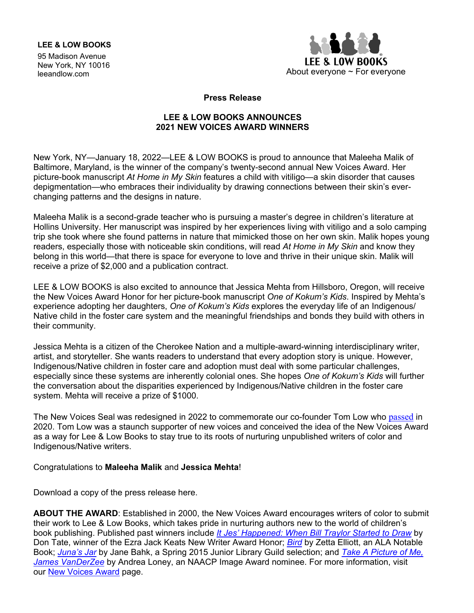## **LEE & LOW BOOKS**

95 Madison Avenue New York, NY 10016<br>leeandlow.com



**Press Release**

## **LEE & LOW BOOKS ANNOUNCES 2021 NEW VOICES AWARD WINNERS**

New York, NY—January 18, 2022—LEE & LOW BOOKS is proud to announce that Maleeha Malik of Baltimore, Maryland, is the winner of the company's twenty-second annual New Voices Award. Her picture-book manuscript *At Home in My Skin* features a child with vitiligo—a skin disorder that causes depigmentation—who embraces their individuality by drawing connections between their skin's everchanging patterns and the designs in nature.

Maleeha Malik is a second-grade teacher who is pursuing a master's degree in children's literature at Hollins University. Her manuscript was inspired by her experiences living with vitiligo and a solo camping trip she took where she found patterns in nature that mimicked those on her own skin. Malik hopes young readers, especially those with noticeable skin conditions, will read *At Home in My Skin* and know they belong in this world—that there is space for everyone to love and thrive in their unique skin. Malik will receive a prize of \$2,000 and a publication contract.

LEE & LOW BOOKS is also excited to announce that Jessica Mehta from Hillsboro, Oregon, will receive the New Voices Award Honor for her picture-book manuscript *One of Kokum's Kids*. Inspired by Mehta's experience adopting her daughters, *One of Kokum's Kids* explores the everyday life of an Indigenous/ Native child in the foster care system and the meaningful friendships and bonds they build with others in their community.

Jessica Mehta is a citizen of the Cherokee Nation and a multiple-award-winning interdisciplinary writer, artist, and storyteller. She wants readers to understand that every adoption story is unique. However, Indigenous/Native children in foster care and adoption must deal with some particular challenges, especially since these systems are inherently colonial ones. She hopes *One of Kokum's Kids* will further the conversation about the disparities experienced by Indigenous/Native children in the foster care system. Mehta will receive a prize of \$1000.

The New Voices Seal was redesigned in 2022 to commemorate our co-founder Tom Low who [passed](https://blog.leeandlow.com/2020/05/19/remembering-our-co-founder-thomas-low/) in 2020. Tom Low was a staunch supporter of new voices and conceived the idea of the New Voices Award as a way for Lee & Low Books to stay true to its roots of nurturing unpublished writers of color and Indigenous/Native writers.

## Congratulations to **Maleeha Malik** and **Jessica Mehta**!

Download a copy of the press release here.

**ABOUT THE AWARD**: Established in 2000, the New Voices Award encourages writers of color to submit their work to Lee & Low Books, which takes pride in nurturing authors new to the world of children's book publishing. Published past winners include *It Jes' [Happened:](https://www.leeandlow.com/books/2764) When Bill Traylor Started to Draw* by Don Tate, winner of the Ezra Jack Keats New Writer Award Honor; *[Bird](https://www.leeandlow.com/books/2516)* by Zetta Elliott, an ALA Notable Book; *[Juna's](https://www.leeandlow.com/books/2867) Jar* by Jane Bahk, a Spring 2015 Junior Library Guild selection; and *[Take A Picture of Me,](https://www.leeandlow.com/books/take-a-picture-of-me-james-van-der-zee)  [James VanDerZee](https://www.leeandlow.com/books/take-a-picture-of-me-james-van-der-zee)* by Andrea Loney, an NAACP Image Award nominee. For more information, visit our New [Voices Award](https://www.leeandlow.com/writers-illustrators/new-voices-award) page.